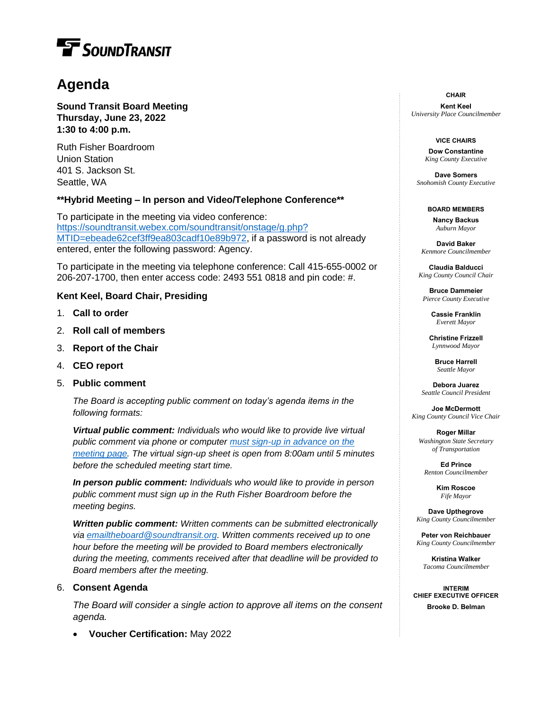# **F** SOUNDTRANSIT

# **Agenda**

**Sound Transit Board Meeting Thursday, June 23, 2022 1:30 to 4:00 p.m.**

Ruth Fisher Boardroom Union Station 401 S. Jackson St. Seattle, WA

# **\*\*Hybrid Meeting – In person and Video/Telephone Conference\*\***

To participate in the meeting via video conference: [https://soundtransit.webex.com/soundtransit/onstage/g.php?](https://soundtransit.webex.com/soundtransit/onstage/g.php?MTID=ebeade62cef3ff9ea803cadf10e89b972) [MTID=ebeade62cef3ff9ea803cadf10e89b972,](https://soundtransit.webex.com/soundtransit/onstage/g.php?MTID=ebeade62cef3ff9ea803cadf10e89b972) if a password is not already entered, enter the following password: Agency.

To participate in the meeting via telephone conference: Call 415-655-0002 or 206-207-1700, then enter access code: 2493 551 0818 and pin code: #.

# **Kent Keel, Board Chair, Presiding**

- 1. **Call to order**
- 2. **Roll call of members**
- 3. **Report of the Chair**
- 4. **CEO report**
- 5. **Public comment**

*The Board is accepting public comment on today's agenda items in the following formats:* 

*Virtual public comment: Individuals who would like to provide live virtual public comment via phone or computer [must sign-up in advance on the](https://www.soundtransit.org/get-to-know-us/news-events/calendar/board-directors-meeting-2022-06-23)  [meeting page.](https://www.soundtransit.org/get-to-know-us/news-events/calendar/board-directors-meeting-2022-06-23) The virtual sign-up sheet is open from 8:00am until 5 minutes before the scheduled meeting start time.*

*In person public comment: Individuals who would like to provide in person public comment must sign up in the Ruth Fisher Boardroom before the meeting begins.*

*Written public comment: Written comments can be submitted electronically via [emailtheboard@soundtransit.org.](mailto:emailtheboard@soundtransit.org?subject=Public%20comment%20for%20the%206/23%20Board%20meeting) Written comments received up to one hour before the meeting will be provided to Board members electronically during the meeting, comments received after that deadline will be provided to Board members after the meeting.*

# 6. **Consent Agenda**

*The Board will consider a single action to approve all items on the consent agenda.*

• **Voucher Certification:** May 2022

**CHAIR**

**Kent Keel** *University Place Councilmember*

#### **VICE CHAIRS**

**Dow Constantine** *King County Executive*

**Dave Somers** *Snohomish County Executive*

#### **BOARD MEMBERS**

**Nancy Backus** *Auburn Mayor*

**David Baker** *Kenmore Councilmember*

**Claudia Balducci**  *King County Council Chair*

**Bruce Dammeier** *Pierce County Executive*

> **Cassie Franklin** *Everett Mayor*

**Christine Frizzell** *Lynnwood Mayor*

**Bruce Harrell** *Seattle Mayor*

**Debora Juarez** *Seattle Council President*

**Joe McDermott** *King County Council Vice Chair*

**Roger Millar** *Washington State Secretary of Transportation*

**Ed Prince** *Renton Councilmember*

> **Kim Roscoe** *Fife Mayor*

**Dave Upthegrove** *King County Councilmember*

**Peter von Reichbauer** *King County Councilmember*

**Kristina Walker** *Tacoma Councilmember*

**INTERIM CHIEF EXECUTIVE OFFICER Brooke D. Belman**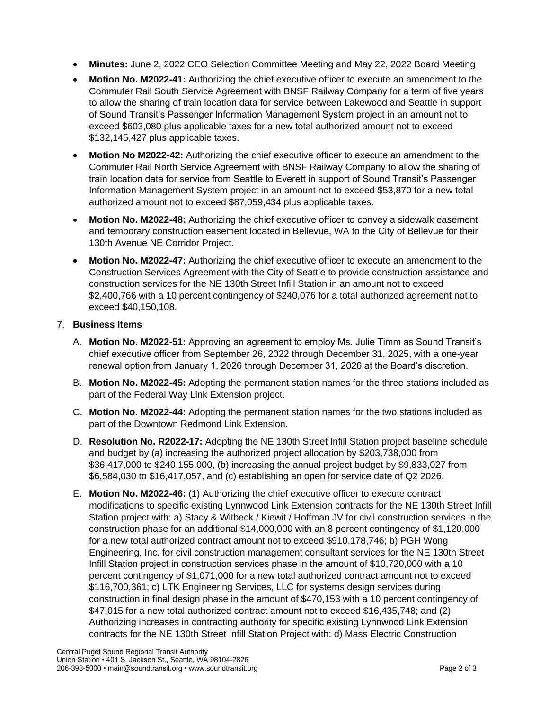- **Minutes:** June 2, 2022 CEO Selection Committee Meeting and May 22, 2022 Board Meeting
- **Motion No. M2022-41:** Authorizing the chief executive officer to execute an amendment to the Commuter Rail South Service Agreement with BNSF Railway Company for a term of five years to allow the sharing of train location data for service between Lakewood and Seattle in support of Sound Transit's Passenger Information Management System project in an amount not to exceed \$603,080 plus applicable taxes for a new total authorized amount not to exceed \$132,145,427 plus applicable taxes.
- **Motion No M2022-42:** Authorizing the chief executive officer to execute an amendment to the Commuter Rail North Service Agreement with BNSF Railway Company to allow the sharing of train location data for service from Seattle to Everett in support of Sound Transit's Passenger Information Management System project in an amount not to exceed \$53,870 for a new total authorized amount not to exceed \$87,059,434 plus applicable taxes.
- **Motion No. M2022-48:** Authorizing the chief executive officer to convey a sidewalk easement and temporary construction easement located in Bellevue, WA to the City of Bellevue for their 130th Avenue NE Corridor Project.
- **Motion No. M2022-47:** Authorizing the chief executive officer to execute an amendment to the Construction Services Agreement with the City of Seattle to provide construction assistance and construction services for the NE 130th Street Infill Station in an amount not to exceed \$2,400,766 with a 10 percent contingency of \$240,076 for a total authorized agreement not to exceed \$40,150,108.

# 7. **Business Items**

- A. **Motion No. M2022-51:** Approving an agreement to employ Ms. Julie Timm as Sound Transit's chief executive officer from September 26, 2022 through December 31, 2025, with a one-year renewal option from January 1, 2026 through December 31, 2026 at the Board's discretion.
- B. **Motion No. M2022-45:** Adopting the permanent station names for the three stations included as part of the Federal Way Link Extension project.
- C. **Motion No. M2022-44:** Adopting the permanent station names for the two stations included as part of the Downtown Redmond Link Extension.
- D. **Resolution No. R2022-17:** Adopting the NE 130th Street Infill Station project baseline schedule and budget by (a) increasing the authorized project allocation by \$203,738,000 from \$36,417,000 to \$240,155,000, (b) increasing the annual project budget by \$9,833,027 from \$6,584,030 to \$16,417,057, and (c) establishing an open for service date of Q2 2026.
- E. **Motion No. M2022-46:** (1) Authorizing the chief executive officer to execute contract modifications to specific existing Lynnwood Link Extension contracts for the NE 130th Street Infill Station project with: a) Stacy & Witbeck / Kiewit / Hoffman JV for civil construction services in the construction phase for an additional \$14,000,000 with an 8 percent contingency of \$1,120,000 for a new total authorized contract amount not to exceed \$910,178,746; b) PGH Wong Engineering, Inc. for civil construction management consultant services for the NE 130th Street Infill Station project in construction services phase in the amount of \$10,720,000 with a 10 percent contingency of \$1,071,000 for a new total authorized contract amount not to exceed \$116,700,361; c) LTK Engineering Services, LLC for systems design services during construction in final design phase in the amount of \$470,153 with a 10 percent contingency of \$47,015 for a new total authorized contract amount not to exceed \$16,435,748; and (2) Authorizing increases in contracting authority for specific existing Lynnwood Link Extension contracts for the NE 130th Street Infill Station Project with: d) Mass Electric Construction